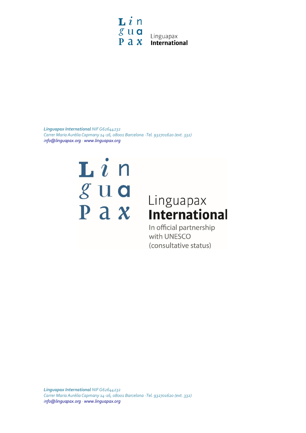

*Linguapax International NIF G62644232 Carrer Maria Aurèlia Capmany 14-16, 08001 Barcelona · Tel. 932701620 (ext. 332) [info@linguapax.org](mailto:info@linguapax.org) [· www.linguapax.org](http://www.linguapax.org/)*

## ${\bf L}$   $i$  n  $g$ ua  $P a x$

## Linguapax **International**

In official partnership with UNESCO (consultative status)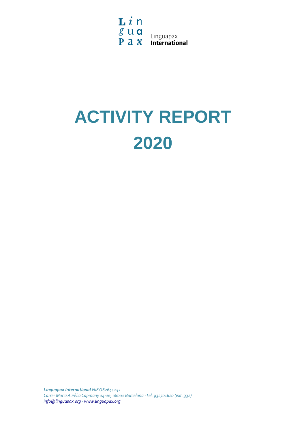$\mathbf{L}i$ n  $\begin{array}{c} \mathcal{L} \\ \mathcal{S} \cup \mathbf{Q} \\ \mathbf{P} \mathbf{a} \mathbf{X} \end{array}$  Linguapax

# **ACTIVITY REPORT 2020**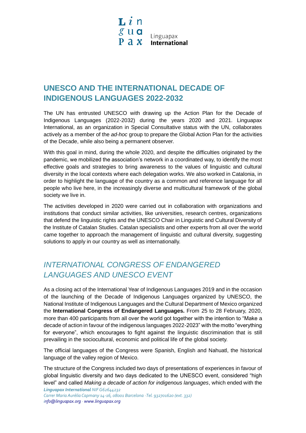## **UNESCO AND THE INTERNATIONAL DECADE OF INDIGENOUS LANGUAGES 2022-2032**

The UN has entrusted UNESCO with drawing up the Action Plan for the Decade of Indigenous Languages (2022-2032) during the years 2020 and 2021. Linguapax International, as an organization in Special Consultative status with the UN, collaborates actively as a member of the *ad-hoc* group to prepare the Global Action Plan for the activities of the Decade, while also being a permanent observer.

With this goal in mind, during the whole 2020, and despite the difficulties originated by the pandemic, we mobilized the association's network in a coordinated way, to identify the most effective goals and strategies to bring awareness to the values of linguistic and cultural diversity in the local contexts where each delegation works. We also worked in Catalonia, in order to highlight the language of the country as a common and reference language for all people who live here, in the increasingly diverse and multicultural framework of the global society we live in.

The activities developed in 2020 were carried out in collaboration with organizations and institutions that conduct similar activities, like universities, research centres, organizations that defend the linguistic rights and the UNESCO Chair in Linguistic and Cultural Diversity of the Institute of Catalan Studies. Catalan specialists and other experts from all over the world came together to approach the management of linguistic and cultural diversity, suggesting solutions to apply in our country as well as internationally.

## *INTERNATIONAL CONGRESS OF ENDANGERED LANGUAGES AND UNESCO EVENT*

As a closing act of the International Year of Indigenous Languages 2019 and in the occasion of the launching of the Decade of Indigenous Languages organized by UNESCO, the National Institute of Indigenous Languages and the Cultural Department of Mexico organized the **International Congress of Endangered Languages.** From 25 to 28 February, 2020, more than 400 participants from all over the world got together with the intention to "Make a decade of action in favour of the indigenous languages 2022-2023" with the motto "everything for everyone", which encourages to fight against the linguistic discrimination that is still prevailing in the sociocultural, economic and political life of the global society.

The official languages of the Congress were Spanish, English and Nahuatl, the historical language of the valley region of Mexico.

The structure of the Congress included two days of presentations of experiences in favour of global linguistic diversity and two days dedicated to the UNESCO event, considered "high level" and called *Making a decade of action for indigenous languages*, which ended with the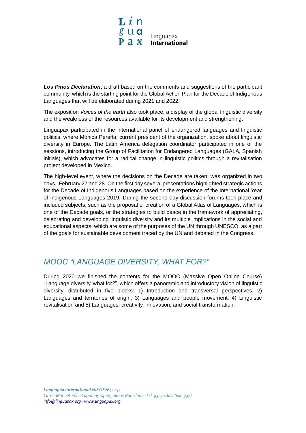

**Los Pinos Declaration**, a draft based on the comments and suggestions of the participant community, which is the starting point for the Global Action Plan for the Decade of Indigenous Languages that will be elaborated during 2021 and 2022.

The exposition *Voices of the earth* also took place, a display of the global linguistic diversity and the weakness of the resources available for its development and strengthening.

Linguapax participated in the international panel of endangered languages and linguistic politics, where Mònica Pereña, current president of the organization, spoke about linguistic diversity in Europe. The Latin America delegation coordinator participated in one of the sessions, introducing the Group of Facilitation for Endangered Languages (GALA, Spanish initials), which advocates for a radical change in linguistic politics through a revitalisation project developed in Mexico.

The high-level event, where the decisions on the Decade are taken, was organized in two days, February 27 and 28. On the first day several presentations highlighted strategic actions for the Decade of Indigenous Languages based on the experience of the International Year of Indigenous Languages 2019. During the second day discussion forums took place and included subjects, such as the proposal of creation of a Global Atlas of Languages, which is one of the Decade goals, or the strategies to build peace in the framework of appreciating, celebrating and developing linguistic diversity and its multiple implications in the social and educational aspects, which are some of the purposes of the UN through UNESCO, as a part of the goals for sustainable development traced by the UN and debated in the Congress.

#### *MOOC "LANGUAGE DIVERSITY, WHAT FOR?"*

During 2020 we finished the contents for the MOOC (Massive Open Online Course) "Language diversity, what for?", which offers a panoramic and introductory vision of linguistic diversity, distributed in five blocks: 1) Introduction and transversal perspectives, 2) Languages and territories of origin, 3) Languages and people movement, 4) Linguistic revitalisation and 5) Languages, creativity, innovation, and social transformation.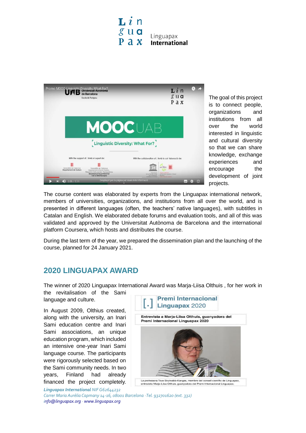



The goal of this project is to connect people, organizations and institutions from all over the world interested in linguistic and cultural diversity so that we can share knowledge, exchange experiences and encourage the development of joint projects.

The course content was elaborated by experts from the Linguapax international network, members of universities, organizations, and institutions from all over the world, and is presented in different languages (often, the teachers' native languages), with subtitles in Catalan and English. We elaborated debate forums and evaluation tools, and all of this was validated and approved by the Universitat Autònoma de Barcelona and the international platform Coursera, which hosts and distributes the course.

During the last term of the year, we prepared the dissemination plan and the launching of the course, planned for 24 January 2021.

#### **2020 LINGUAPAX AWARD**

The winner of 2020 Linguapax International Award was Marja-Liisa Olthuis , for her work in

the revitalisation of the Sami language and culture.

In August 2009, Olthius created, along with the university, an Inari Sami education centre and Inari Sami associations, an unique education program, which included an intensive one-year Inari Sami language course. The participants were rigorously selected based on the Sami community needs. In two years, Finland had already financed the project completely.



*Linguapax International NIF G62644232*

*Carrer Maria Aurèlia Capmany 14-16, 08001 Barcelona · Tel. 932701620 (ext. 332) [info@linguapax.org](mailto:info@linguapax.org) [· www.linguapax.org](http://www.linguapax.org/)*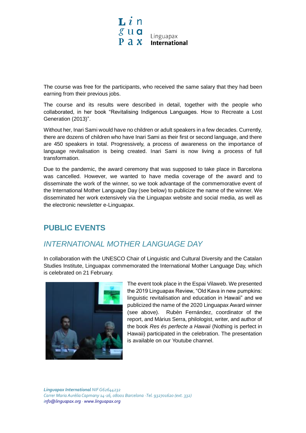

The course was free for the participants, who received the same salary that they had been earning from their previous jobs.

The course and its results were described in detail, together with the people who collaborated, in her book "Revitalising Indigenous Languages. How to Recreate a Lost Generation (2013)".

Without her, Inari Sami would have no children or adult speakers in a few decades. Currently, there are dozens of children who have Inari Sami as their first or second language, and there are 450 speakers in total. Progressively, a process of awareness on the importance of language revitalisation is being created. Inari Sami is now living a process of full transformation.

Due to the pandemic, the award ceremony that was supposed to take place in Barcelona was cancelled. However, we wanted to have media coverage of the award and to disseminate the work of the winner, so we took advantage of the commemorative event of the International Mother Language Day (see below) to publicize the name of the winner. We disseminated her work extensively via the Linguapax website and social media, as well as the electronic newsletter e-Linguapax.

### **PUBLIC EVENTS**

### *INTERNATIONAL MOTHER LANGUAGE DAY*

In collaboration with the UNESCO Chair of Linguistic and Cultural Diversity and the Catalan Studies Institute, Linguapax commemorated the International Mother Language Day, which is celebrated on 21 February.



The event took place in the Espai Vilaweb. We presented the 2019 Linguapax Review, "Old Kava in new pumpkins: linguistic revitalisation and education in Hawaii" and we publicized the name of the 2020 Linguapax Award winner (see above). Rubèn Fernández, coordinator of the report, and Màrius Serra, philologist, writer, and author of the book *Res és perfecte a Hawaii* (Nothing is perfect in Hawaii) participated in the celebration. The presentation is available on our Youtube channel.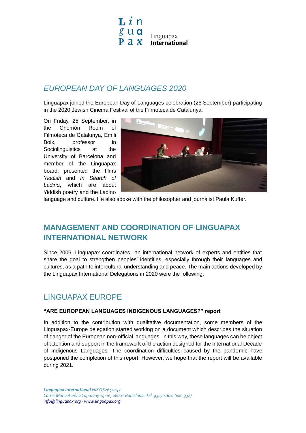

#### *EUROPEAN DAY OF LANGUAGES 2020*

Linguapax joined the European Day of Languages celebration (26 September) participating in the 2020 Jewish Cinema Festival of the Filmoteca de Catalunya.

On Friday, 25 September, in the Chomón Room of Filmoteca de Catalunya, Emili Boix, professor in Sociolinguistics at the University of Barcelona and member of the Linguapax board, presented the films *Yiddish* and *In Search of Ladino*, which are about Yiddish poetry and the Ladino



language and culture. He also spoke with the philosopher and journalist Paula Kuffer.

### **MANAGEMENT AND COORDINATION OF LINGUAPAX INTERNATIONAL NETWORK**

Since 2006, Linguapax coordinates an international network of experts and entities that share the goal to strengthen peoples' identities, especially through their languages and cultures, as a path to intercultural understanding and peace. The main actions developed by the Linguapax International Delegations in 2020 were the following:

#### LINGUAPAX EUROPE

#### **"ARE EUROPEAN LANGUAGES INDIGENOUS LANGUAGES?" report**

In addition to the contribution with qualitative documentation, some members of the Linguapax-Europe delegation started working on a document which describes the situation of danger of the European non-official languages. In this way, these languages can be object of attention and support in the framework of the action designed for the International Decade of Indigenous Languages. The coordination difficulties caused by the pandemic have postponed the completion of this report. However, we hope that the report will be available during 2021.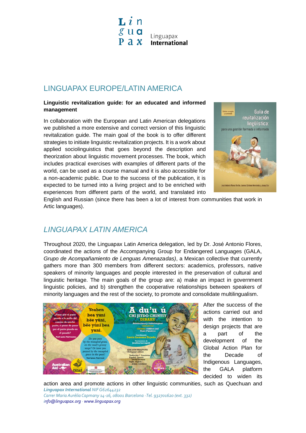${\bf L}$   $i$  n  $g$ ua Linguapax  $P \cap x$ **International** 

#### LINGUAPAX EUROPE/LATIN AMERICA

#### **Linguistic revitalization guide: for an educated and informed management**

In collaboration with the European and Latin American delegations we published a more extensive and correct version of this linguistic revitalization guide. The main goal of the book is to offer different strategies to initiate linguistic revitalization projects. It is a work about applied sociolinguistics that goes beyond the description and theorization about linguistic movement processes. The book, which includes practical exercises with examples of different parts of the world, can be used as a course manual and it is also accessible for a non-academic public. Due to the success of the publication, it is expected to be turned into a living project and to be enriched with experiences from different parts of the world, and translated into



English and Russian (since there has been a lot of interest from communities that work in Artic languages).

#### *LINGUAPAX LATIN AMERICA*

Throughout 2020, the Linguapax Latin America delegation, led by Dr. José Antonio Flores, coordinated the actions of the Accompanying Group for Endangered Languages (GALA, *Grupo de Acompañamiento de Lenguas Amenazadas)*, a Mexican collective that currently gathers more than 300 members from different sectors: academics, professors, native speakers of minority languages and people interested in the preservation of cultural and linguistic heritage. The main goals of the group are: a) make an impact in government linguistic policies, and b) strengthen the cooperative relationships between speakers of minority languages and the rest of the society, to promote and consolidate multilingualism.



After the success of the actions carried out and with the intention to design projects that are a part of the development of the Global Action Plan for the Decade of Indigenous Languages, the GALA platform decided to widen its

*Linguapax International NIF G62644232* action area and promote actions in other linguistic communities, such as Quechuan and

*Carrer Maria Aurèlia Capmany 14-16, 08001 Barcelona · Tel. 932701620 (ext. 332) [info@linguapax.org](mailto:info@linguapax.org) [· www.linguapax.org](http://www.linguapax.org/)*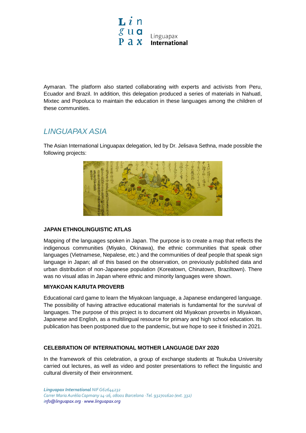

Aymaran. The platform also started collaborating with experts and activists from Peru, Ecuador and Brazil. In addition, this delegation produced a series of materials in Nahuatl, Mixtec and Popoluca to maintain the education in these languages among the children of these communities.

#### *LINGUAPAX ASIA*

The Asian International Linguapax delegation, led by Dr. Jelisava Sethna, made possible the following projects:



#### **JAPAN ETHNOLINGUISTIC ATLAS**

Mapping of the languages spoken in Japan. The purpose is to create a map that reflects the indigenous communities (Miyako, Okinawa), the ethnic communities that speak other languages (Vietnamese, Nepalese, etc.) and the communities of deaf people that speak sign language in Japan; all of this based on the observation, on previously published data and urban distribution of non-Japanese population (Koreatown, Chinatown, Braziltown). There was no visual atlas in Japan where ethnic and minority languages were shown.

#### **MIYAKOAN KARUTA PROVERB**

Educational card game to learn the Miyakoan language, a Japanese endangered language. The possibility of having attractive educational materials is fundamental for the survival of languages. The purpose of this project is to document old Miyakoan proverbs in Miyakoan, Japanese and English, as a multilingual resource for primary and high school education. Its publication has been postponed due to the pandemic, but we hope to see it finished in 2021.

#### **CELEBRATION OF INTERNATIONAL MOTHER LANGUAGE DAY 2020**

In the framework of this celebration, a group of exchange students at Tsukuba University carried out lectures, as well as video and poster presentations to reflect the linguistic and cultural diversity of their environment.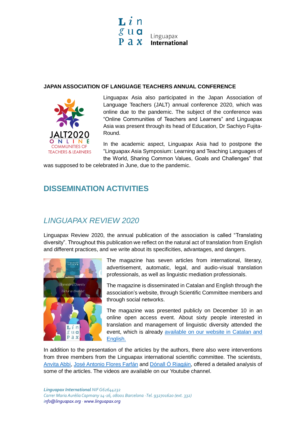

#### **JAPAN ASSOCIATION OF LANGUAGE TEACHERS ANNUAL CONFERENCE**



Linguapax Asia also participated in the Japan Association of Language Teachers (JALT) annual conference 2020, which was online due to the pandemic. The subject of the conference was "Online Communities of Teachers and Learners" and Linguapax Asia was present through its head of Education, Dr Sachiyo Fujita-Round.

In the academic aspect, Linguapax Asia had to postpone the "Linguapax Asia Symposium: Learning and Teaching Languages of the World, Sharing Common Values, Goals and Challenges" that

was supposed to be celebrated in June, due to the pandemic.

## **DISSEMINATION ACTIVITIES**

## *LINGUAPAX REVIEW 2020*

Linguapax Review 2020, the annual publication of the association is called "Translating diversity". Throughout this publication we reflect on the natural act of translation from English and different practices, and we write about its specificities, advantages, and dangers.



The magazine has seven articles from international, literary, advertisement, automatic, legal, and audio-visual translation professionals, as well as linguistic mediation professionals.

The magazine is disseminated in Catalan and English through the association's website, through Scientific Committee members and through social networks.

The magazine was presented publicly on December 10 in an online open access event. About sixty people interested in translation and management of linguistic diversity attended the event, which is already available on [our website in Catalan and](https://www.linguapax.org/wp-content/uploads/2020/12/LinguapaxReview2020-1.pdf)  [English.](https://www.linguapax.org/wp-content/uploads/2020/12/LinguapaxReview2020-1.pdf)

In addition to the presentation of the articles by the authors, there also were interventions from three members from the Linguapax international scientific committee. The scientists, [Anvita Abbi,](https://www.youtube.com/watch?v=8Zj0PxH7qZk&feature=youtu.be&cbrd=1) [José Antonio Flores Farfán](https://www.youtube.com/watch?v=7iRflx4mYKA&feature=youtu.be) and [Dónall Ó Riagáin,](https://www.youtube.com/watch?v=Yo9Bt-aniQI&feature=youtu.be) offered a detailed analysis of some of the articles. The videos are available on our Youtube channel.